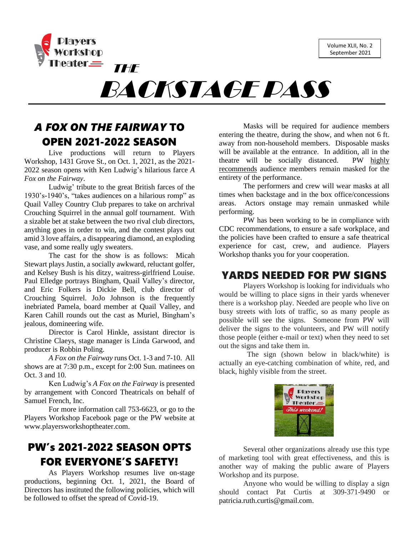Volume XLII, No. 2 September 2021



BACKSTAGE PASS

# *A FOX ON THE FAIRWAY* TO OPEN 2021-2022 SEASON

Live productions will return to Players Workshop, 1431 Grove St., on Oct. 1, 2021, as the 2021- 2022 season opens with Ken Ludwig's hilarious farce *A Fox on the Fairway*.

Ludwig' tribute to the great British farces of the 1930's-1940's, "takes audiences on a hilarious romp" as Quail Valley Country Club prepares to take on archrival Crouching Squirrel in the annual golf tournament. With a sizable bet at stake between the two rival club directors, anything goes in order to win, and the contest plays out amid 3 love affairs, a disappearing diamond, an exploding vase, and some really ugly sweaters.

The cast for the show is as follows: Micah Stewart plays Justin, a socially awkward, reluctant golfer, and Kelsey Bush is his ditzy, waitress-girlfriend Louise. Paul Elledge portrays Bingham, Quail Valley's director, and Eric Folkers is Dickie Bell, club director of Crouching Squirrel. JoJo Johnson is the frequently inebriated Pamela, board member at Quail Valley, and Karen Cahill rounds out the cast as Muriel, Bingham's jealous, domineering wife.

Director is Carol Hinkle, assistant director is Christine Claeys, stage manager is Linda Garwood, and producer is Robbin Poling.

*A Fox on the Fairway* runs Oct. 1-3 and 7-10. All shows are at 7:30 p.m., except for 2:00 Sun. matinees on Oct. 3 and 10.

Ken Ludwig's *A Fox on the Fairway* is presented by arrangement with Concord Theatricals on behalf of Samuel French, Inc.

For more information call 753-6623, or go to the Players Workshop Facebook page or the PW website at [www.playersworkshoptheater.com.](http://www.playersworkshoptheater.com/)

## PW's 2021-2022 SEASON OPTS FOR EVERYONE'S SAFETY!

As Players Workshop resumes live on-stage productions, beginning Oct. 1, 2021, the Board of Directors has instituted the following policies, which will be followed to offset the spread of Covid-19.

Masks will be required for audience members entering the theatre, during the show, and when not 6 ft. away from non-household members. Disposable masks will be available at the entrance. In addition, all in the theatre will be socially distanced. PW highly recommends audience members remain masked for the entirety of the performance.

The performers and crew will wear masks at all times when backstage and in the box office/concessions areas. Actors onstage may remain unmasked while performing.

PW has been working to be in compliance with CDC recommendations, to ensure a safe workplace, and the policies have been crafted to ensure a safe theatrical experience for cast, crew, and audience. Players Workshop thanks you for your cooperation.

### YARDS NEEDED FOR PW SIGNS

Players Workshop is looking for individuals who would be willing to place signs in their yards whenever there is a workshop play. Needed are people who live on busy streets with lots of traffic, so as many people as possible will see the signs. Someone from PW will deliver the signs to the volunteers, and PW will notify those people (either e-mail or text) when they need to set out the signs and take them in.

 The sign (shown below in black/white) is actually an eye-catching combination of white, red, and black, highly visible from the street.



Several other organizations already use this type of marketing tool with great effectiveness, and this is another way of making the public aware of Players Workshop and its purpose.

Anyone who would be willing to display a sign should contact Pat Curtis at 309-371-9490 or [patricia.ruth.curtis@gmail.com.](mailto:patricia.ruth.curtis@gmail.com)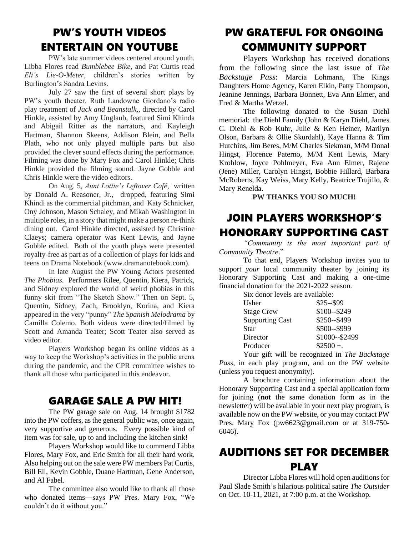## PW'S YOUTH VIDEOS ENTERTAIN ON YOUTUBE

PW's late summer videos centered around youth. Libba Flores read *Bumblebee Bike*, and Pat Curtis read *Eli's Lie-O-Meter*, children's stories written by Burlington's Sandra Levins.

July 27 saw the first of several short plays by PW's youth theater. Ruth Landowne Giordano's radio play treatment of *Jack and Beanstalk,*, directed by Carol Hinkle, assisted by Amy Unglaub, featured Simi Khinda and Abigail Ritter as the narrators, and Kayleigh Hartman, Shannon Skeens, Addison Blein, and Bella Plath, who not only played multiple parts but also provided the clever sound effects during the performance. Filming was done by Mary Fox and Carol Hinkle; Chris Hinkle provided the filming sound. Jayne Gobble and Chris Hinkle were the video editors.

On Aug. 5, *Aunt Lottie's Leftover Café,* written by Donald A. Reasoner, Jr., dropped, featuring Simi Khindi as the commercial pitchman, and Katy Schnicker, Ony Johnson, Mason Schaley, and Mikah Washington in multiple roles, in a story that might make a person re-think dining out. Carol Hinkle directed, assisted by Christine Claeys; camera operator was Kent Lewis, and Jayne Gobble edited. Both of the youth plays were presented royalty-free as part as of a collection of plays for kids and teens on Drama Notebook (www.dramanotebook.com).

In late August the PW Young Actors presented *The Phobias.* Performers Rilee, Quentin, Kiera, Patrick, and Sidney explored the world of weird phobias in this funny skit from "The Sketch Show." Then on Sept. 5, Quentin, Sidney, Zach, Brooklyn, Korina, and Kiera appeared in the very "punny" *The Spanish Melodrama* by Camilla Colemo. Both videos were directed/filmed by Scott and Amanda Teater; Scott Teater also served as video editor.

Players Workshop began its online videos as a way to keep the Workshop's activities in the public arena during the pandemic, and the CPR committee wishes to thank all those who participated in this endeavor.

### GARAGE SALE A PW HIT!

The PW garage sale on Aug. 14 brought \$1782 into the PW coffers, as the general public was, once again, very supportive and generous. Every possible kind of item was for sale, up to and including the kitchen sink!

Players Workshop would like to commend Libba Flores, Mary Fox, and Eric Smith for all their hard work. Also helping out on the sale were PW members Pat Curtis, Bill Ell, Kevin Gobble, Duane Hartman, Gene Anderson, and Al Fabel.

The committee also would like to thank all those who donated items—says PW Pres. Mary Fox, "We couldn't do it without you."

## PW GRATEFUL FOR ONGOING COMMUNITY SUPPORT

Players Workshop has received donations from the following since the last issue of *The Backstage Pass*: Marcia Lohmann, The Kings Daughters Home Agency, Karen Elkin, Patty Thompson, Jeanine Jennings, Barbara Bonnett, Eva Ann Elmer, and Fred & Martha Wetzel.

The following donated to the Susan Diehl memorial: the Diehl Family (John & Karyn Diehl, James C. Diehl & Rob Kuhr, Julie & Ken Heiner, Marilyn Olson, Barbara & Ollie Skurdahl), Kaye Hanna & Tim Hutchins, Jim Beres, M/M Charles Siekman, M/M Donal Hingst, Florence Paterno, M/M Kent Lewis, Mary Krohlow, Joyce Pohlmeyer, Eva Ann Elmer, Rajene (Jene) Miller, Carolyn Hingst, Bobbie Hillard, Barbara McRoberts, Kay Weiss, Mary Kelly, Beatrice Trujillo, & Mary Renelda.

#### **PW THANKS YOU SO MUCH!**

# JOIN PLAYERS WORKSHOP'S HONORARY SUPPORTING CAST

*"Community is the most important part of Community Theatre*."

To that end, Players Workshop invites you to support *your* local community theater by joining its Honorary Supporting Cast and making a one-time financial donation for the 2021-2022 season.

Six donor levels are available:

| Usher                  | $$25 - $99$    |
|------------------------|----------------|
| <b>Stage Crew</b>      | \$100--\$249   |
| <b>Supporting Cast</b> | \$250--\$499   |
| Star                   | \$500--\$999   |
| Director               | \$1000--\$2499 |
| Producer               | $$2500 +$ .    |
|                        |                |

Your gift will be recognized in *The Backstage Pass*, in each play program, and on the PW website (unless you request anonymity).

A brochure containing information about the Honorary Supporting Cast and a special application form for joining (**not** the same donation form as in the newsletter) will be available in your next play program, is available now on the PW website, or you may contact PW Pres. Mary Fox [\(pw6623@gmail.com](mailto:pw6623@gmail.com) or at 319-750- 6046).

### AUDITIONS SET FOR DECEMBER PLAY

Director Libba Flores will hold open auditions for Paul Slade Smith's hilarious political satire *The Outsider* on Oct. 10-11, 2021, at 7:00 p.m. at the Workshop.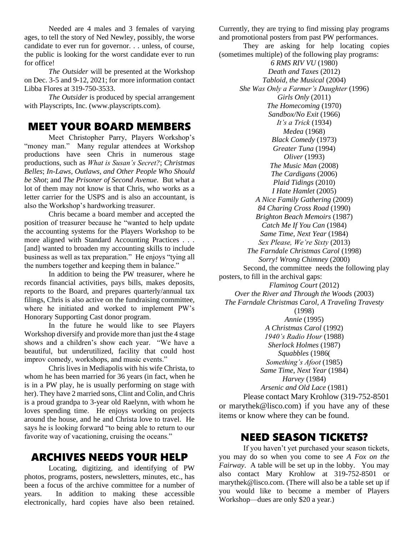Needed are 4 males and 3 females of varying ages, to tell the story of Ned Newley, possibly, the worse candidate to ever run for governor. . . unless, of course, the public is looking for the worst candidate ever to run for office!

*The Outsider* will be presented at the Workshop on Dec. 3-5 and 9-12, 2021; for more information contact Libba Flores at 319-750-3533.

*The Outsider* is produced by special arrangement with Playscripts, Inc. [\(www.playscripts.com\)](http://www.playscripts.com/).

### MEET YOUR BOARD MEMBERS

Meet Christopher Parry, Players Workshop's "money man." Many regular attendees at Workshop productions have seen Chris in numerous stage productions, such as *What is Susan's Secret?*; *Christmas Belles*; *In-Laws, Outlaws, and Other People Who Should be Shot*; and *The Prisoner of Second Avenue.* But what a lot of them may not know is that Chris, who works as a letter carrier for the USPS and is also an accountant, is also the Workshop's hardworking treasurer.

Chris became a board member and accepted the position of treasurer because he "wanted to help update the accounting systems for the Players Workshop to be more aligned with Standard Accounting Practices . . . [and] wanted to broaden my accounting skills to include business as well as tax preparation." He enjoys "tying all the numbers together and keeping them in balance."

In addition to being the PW treasurer, where he records financial activities, pays bills, makes deposits, reports to the Board, and prepares quarterly/annual tax filings, Chris is also active on the fundraising committee, where he initiated and worked to implement PW's Honorary Supporting Cast donor program.

In the future he would like to see Players Workshop diversify and provide more than just the 4 stage shows and a children's show each year. "We have a beautiful, but underutilized, facility that could host improv comedy, workshops, and music events."

Chris lives in Mediapolis with his wife Christa, to whom he has been married for 36 years (in fact, when he is in a PW play, he is usually performing on stage with her). They have 2 married sons, Clint and Colin, and Chris is a proud grandpa to 3-year old Raelynn, with whom he loves spending time. He enjoys working on projects around the house, and he and Christa love to travel. He says he is looking forward "to being able to return to our favorite way of vacationing, cruising the oceans."

### ARCHIVES NEEDS YOUR HELP

Locating, digitizing, and identifying of PW photos, programs, posters, newsletters, minutes, etc., has been a focus of the archive committee for a number of years. In addition to making these accessible electronically, hard copies have also been retained.

Currently, they are trying to find missing play programs and promotional posters from past PW performances. They are asking for help locating copies (sometimes multiple) of the following play programs: *6 RMS RIV VU* (1980) *Death and Taxes* (2012) *Tabloid, the Musical* (2004) *She Was Only a Farmer's Daughter* (1996) *Girls Only* (2011) *The Homecoming* (1970) *Sandbox/No Exit* (1966) *It's a Trick* (1934) *Medea* (1968) *Black Comedy* (1973) *Greater Tuna* (1994) *Oliver* (1993) *The Music Man* (2008) *The Cardigans* (2006) *Plaid Tidings* (2010) *I Hate Hamlet* (2005) *A Nice Family Gathering* (2009) *84 Charing Cross Road* (1990) *Brighton Beach Memoirs* (1987) *Catch Me If You Can* (1984) *Same Time, Next Year* (1984) *Sex Please, We're Sixty* (2013) *The Farndale Christmas Carol* (1998) *Sorry! Wrong Chimney* (2000) Second, the committee needs the following play posters, to fill in the archival gaps: *Flaminog Court* (2012) *Over the River and Through the Woods* (2003) *The Farndale Christmas Carol, A Traveling Travesty* (1998) *Annie* (1995) *A Christmas Carol* (1992) *1940's Radio Hour* (1988) *Sherlock Holmes* (1987) *Squabbles* (1986( *Something's Afoot* (1985) *Same Time, Next Year* (1984) *Harvey* (1984) *Arsenic and Old Lace* (1981) Please contact Mary Krohlow (319-752-8501 or [marythek@lisco.com\)](mailto:marythek@lisco.com) if you have any of these items or know where they can be found.

### NEED SEASON TICKETS?

If you haven't yet purchased your season tickets, you may do so when you come to see *A Fox on the Fairway*. A table will be set up in the lobby. You may also contact Mary Krohlow at 319-752-8501 or [marythek@lisco.com.](mailto:marythek@lisco.com) (There will also be a table set up if you would like to become a member of Players Workshop—dues are only \$20 a year.)